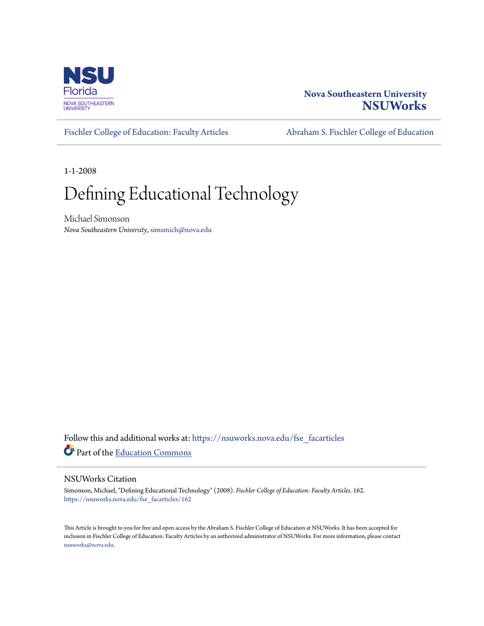

## **Nova Southeastern University [NSUWorks](https://nsuworks.nova.edu?utm_source=nsuworks.nova.edu%2Ffse_facarticles%2F162&utm_medium=PDF&utm_campaign=PDFCoverPages)**

[Fischler College of Education: Faculty Articles](https://nsuworks.nova.edu/fse_facarticles?utm_source=nsuworks.nova.edu%2Ffse_facarticles%2F162&utm_medium=PDF&utm_campaign=PDFCoverPages) [Abraham S. Fischler College of Education](https://nsuworks.nova.edu/fse?utm_source=nsuworks.nova.edu%2Ffse_facarticles%2F162&utm_medium=PDF&utm_campaign=PDFCoverPages)

1-1-2008

# Defining Educational Technology

Michael Simonson *Nova Southeastern University*, simsmich@nova.edu

Follow this and additional works at: [https://nsuworks.nova.edu/fse\\_facarticles](https://nsuworks.nova.edu/fse_facarticles?utm_source=nsuworks.nova.edu%2Ffse_facarticles%2F162&utm_medium=PDF&utm_campaign=PDFCoverPages) Part of the [Education Commons](http://network.bepress.com/hgg/discipline/784?utm_source=nsuworks.nova.edu%2Ffse_facarticles%2F162&utm_medium=PDF&utm_campaign=PDFCoverPages)

## NSUWorks Citation

Simonson, Michael, "Defining Educational Technology" (2008). *Fischler College of Education: Faculty Articles*. 162. [https://nsuworks.nova.edu/fse\\_facarticles/162](https://nsuworks.nova.edu/fse_facarticles/162?utm_source=nsuworks.nova.edu%2Ffse_facarticles%2F162&utm_medium=PDF&utm_campaign=PDFCoverPages)

This Article is brought to you for free and open access by the Abraham S. Fischler College of Education at NSUWorks. It has been accepted for inclusion in Fischler College of Education: Faculty Articles by an authorized administrator of NSUWorks. For more information, please contact [nsuworks@nova.edu.](mailto:nsuworks@nova.edu)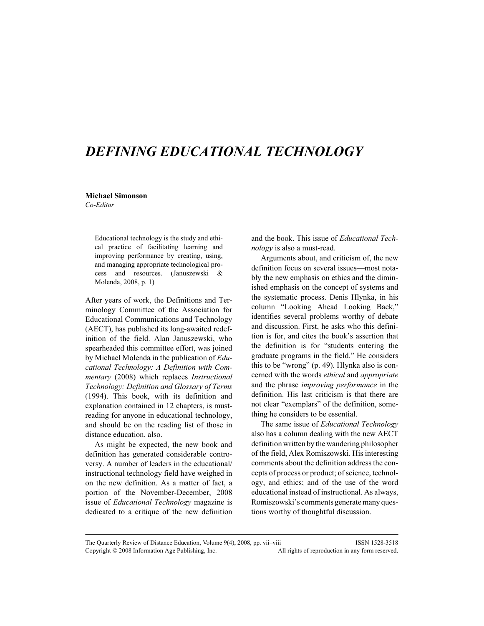## DEFINING EDUCATIONAL TECHNOLOGY

#### Michael Simonson

Co-Editor

Educational technology is the study and ethical practice of facilitating learning and improving performance by creating, using, and managing appropriate technological process and resources. (Januszewski & Molenda, 2008, p. 1)

After years of work, the Definitions and Terminology Committee of the Association for Educational Communications and Technology (AECT), has published its long-awaited redefinition of the field. Alan Januszewski, who spearheaded this committee effort, was joined by Michael Molenda in the publication of Educational Technology: A Definition with Commentary (2008) which replaces Instructional Technology: Definition and Glossary of Terms (1994). This book, with its definition and explanation contained in 12 chapters, is mustreading for anyone in educational technology, and should be on the reading list of those in distance education, also.

As might be expected, the new book and definition has generated considerable controversy. A number of leaders in the educational/ instructional technology field have weighed in on the new definition. As a matter of fact, a portion of the November-December, 2008 issue of *Educational Technology* magazine is dedicated to a critique of the new definition

and the book. This issue of Educational Technology is also a must-read.

Arguments about, and criticism of, the new definition focus on several issues—most notably the new emphasis on ethics and the diminished emphasis on the concept of systems and the systematic process. Denis Hlynka, in his column "Looking Ahead Looking Back," identifies several problems worthy of debate and discussion. First, he asks who this definition is for, and cites the book's assertion that the definition is for "students entering the graduate programs in the field." He considers this to be "wrong" (p. 49). Hlynka also is concerned with the words ethical and appropriate and the phrase improving performance in the definition. His last criticism is that there are not clear "exemplars" of the definition, something he considers to be essential.

The same issue of Educational Technology also has a column dealing with the new AECT definition written by the wandering philosopher of the field, Alex Romiszowski. His interesting comments about the definition address the concepts of process or product; of science, technology, and ethics; and of the use of the word educational instead of instructional. As always, Romiszowski's comments generate many questions worthy of thoughtful discussion.

The Quarterly Review of Distance Education, Volume 9(4), 2008, pp. vii–viii ISSN 1528-3518 Copyright © 2008 Information Age Publishing, Inc. All rights of reproduction in any form reserved.